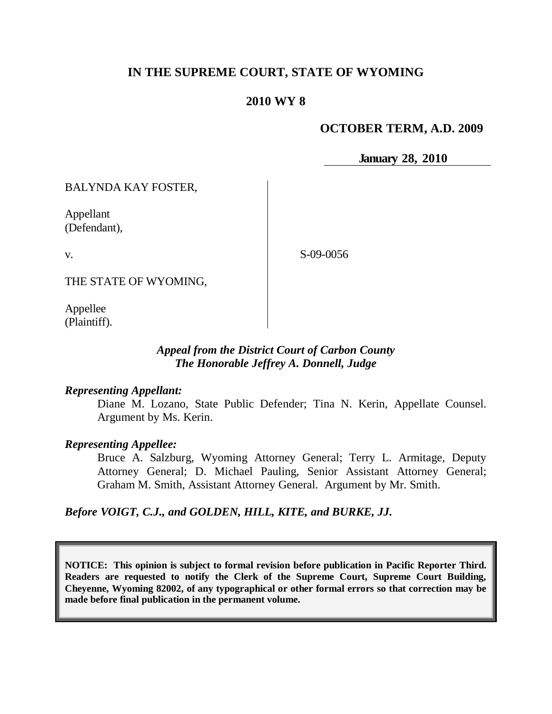# **IN THE SUPREME COURT, STATE OF WYOMING**

# **2010 WY 8**

## **OCTOBER TERM, A.D. 2009**

**January 28, 2010**

BALYNDA KAY FOSTER,

Appellant (Defendant),

v.

S-09-0056

THE STATE OF WYOMING,

Appellee (Plaintiff).

## *Appeal from the District Court of Carbon County The Honorable Jeffrey A. Donnell, Judge*

#### *Representing Appellant:*

Diane M. Lozano, State Public Defender; Tina N. Kerin, Appellate Counsel. Argument by Ms. Kerin.

#### *Representing Appellee:*

Bruce A. Salzburg, Wyoming Attorney General; Terry L. Armitage, Deputy Attorney General; D. Michael Pauling, Senior Assistant Attorney General; Graham M. Smith, Assistant Attorney General. Argument by Mr. Smith.

*Before VOIGT, C.J., and GOLDEN, HILL, KITE, and BURKE, JJ.*

**NOTICE: This opinion is subject to formal revision before publication in Pacific Reporter Third. Readers are requested to notify the Clerk of the Supreme Court, Supreme Court Building, Cheyenne, Wyoming 82002, of any typographical or other formal errors so that correction may be made before final publication in the permanent volume.**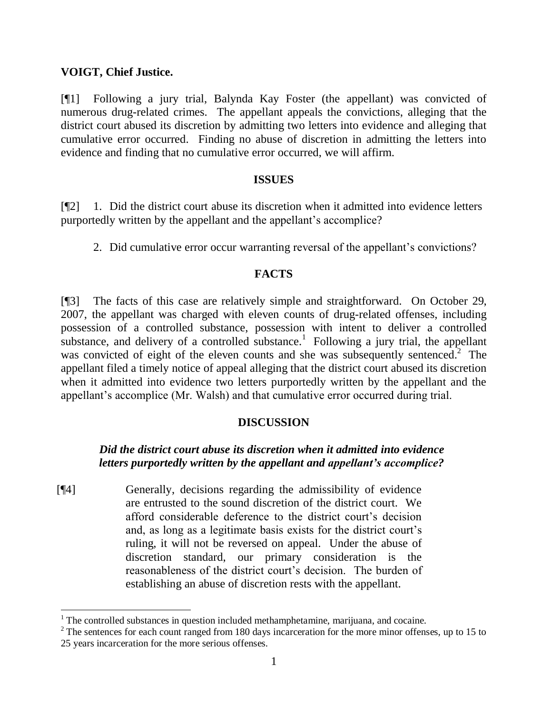### **VOIGT, Chief Justice.**

1

[¶1] Following a jury trial, Balynda Kay Foster (the appellant) was convicted of numerous drug-related crimes. The appellant appeals the convictions, alleging that the district court abused its discretion by admitting two letters into evidence and alleging that cumulative error occurred. Finding no abuse of discretion in admitting the letters into evidence and finding that no cumulative error occurred, we will affirm.

#### **ISSUES**

[¶2] 1. Did the district court abuse its discretion when it admitted into evidence letters purportedly written by the appellant and the appellant's accomplice?

2. Did cumulative error occur warranting reversal of the appellant's convictions?

## **FACTS**

[¶3] The facts of this case are relatively simple and straightforward. On October 29, 2007, the appellant was charged with eleven counts of drug-related offenses, including possession of a controlled substance, possession with intent to deliver a controlled substance, and delivery of a controlled substance.<sup>1</sup> Following a jury trial, the appellant was convicted of eight of the eleven counts and she was subsequently sentenced.<sup>2</sup> The appellant filed a timely notice of appeal alleging that the district court abused its discretion when it admitted into evidence two letters purportedly written by the appellant and the appellant's accomplice (Mr. Walsh) and that cumulative error occurred during trial.

## **DISCUSSION**

# *Did the district court abuse its discretion when it admitted into evidence letters purportedly written by the appellant and appellant's accomplice?*

[¶4] Generally, decisions regarding the admissibility of evidence are entrusted to the sound discretion of the district court. We afford considerable deference to the district court"s decision and, as long as a legitimate basis exists for the district court's ruling, it will not be reversed on appeal. Under the abuse of discretion standard, our primary consideration is the reasonableness of the district court's decision. The burden of establishing an abuse of discretion rests with the appellant.

 $1$ <sup>1</sup> The controlled substances in question included methamphetamine, marijuana, and cocaine.

 $2^2$  The sentences for each count ranged from 180 days incarceration for the more minor offenses, up to 15 to 25 years incarceration for the more serious offenses.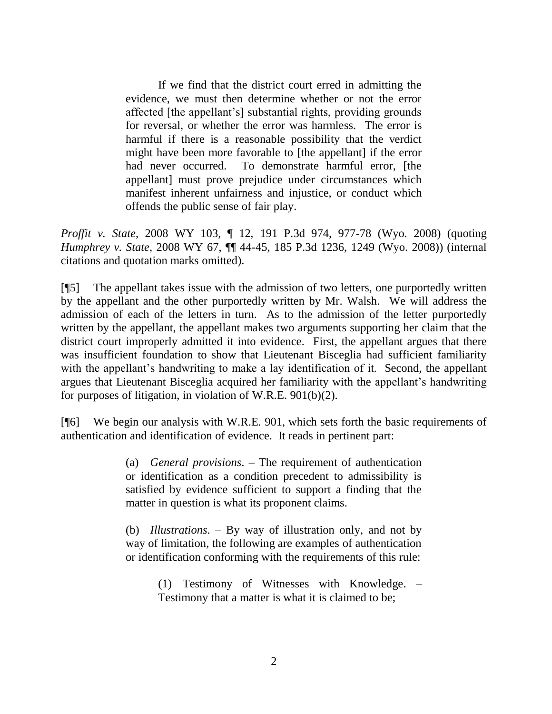If we find that the district court erred in admitting the evidence, we must then determine whether or not the error affected [the appellant"s] substantial rights, providing grounds for reversal, or whether the error was harmless. The error is harmful if there is a reasonable possibility that the verdict might have been more favorable to [the appellant] if the error had never occurred. To demonstrate harmful error, [the appellant] must prove prejudice under circumstances which manifest inherent unfairness and injustice, or conduct which offends the public sense of fair play.

*Proffit v. State*, 2008 WY 103, ¶ 12, 191 P.3d 974, 977-78 (Wyo. 2008) (quoting *Humphrey v. State*, 2008 WY 67, ¶¶ 44-45, 185 P.3d 1236, 1249 (Wyo. 2008)) (internal citations and quotation marks omitted).

[¶5] The appellant takes issue with the admission of two letters, one purportedly written by the appellant and the other purportedly written by Mr. Walsh. We will address the admission of each of the letters in turn. As to the admission of the letter purportedly written by the appellant, the appellant makes two arguments supporting her claim that the district court improperly admitted it into evidence. First, the appellant argues that there was insufficient foundation to show that Lieutenant Bisceglia had sufficient familiarity with the appellant's handwriting to make a lay identification of it. Second, the appellant argues that Lieutenant Bisceglia acquired her familiarity with the appellant"s handwriting for purposes of litigation, in violation of W.R.E. 901(b)(2).

[¶6] We begin our analysis with W.R.E. 901, which sets forth the basic requirements of authentication and identification of evidence. It reads in pertinent part:

> (a) *General provisions*. – The requirement of authentication or identification as a condition precedent to admissibility is satisfied by evidence sufficient to support a finding that the matter in question is what its proponent claims.

> (b) *Illustrations*. – By way of illustration only, and not by way of limitation, the following are examples of authentication or identification conforming with the requirements of this rule:

> > (1) Testimony of Witnesses with Knowledge. – Testimony that a matter is what it is claimed to be;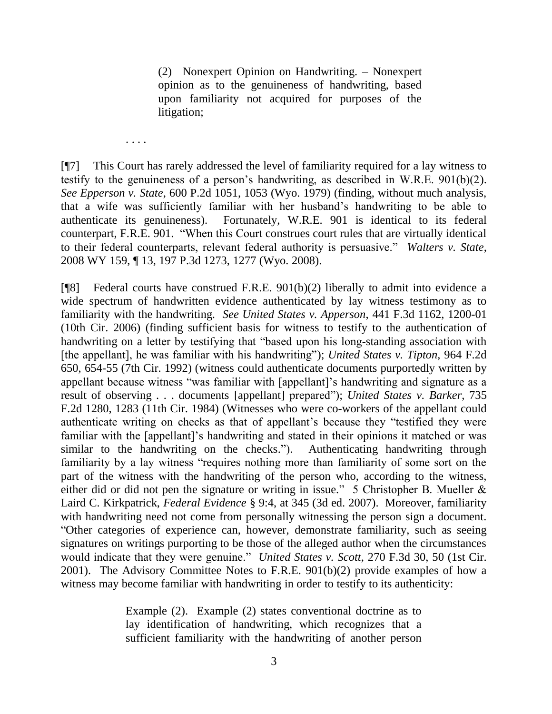(2) Nonexpert Opinion on Handwriting. – Nonexpert opinion as to the genuineness of handwriting, based upon familiarity not acquired for purposes of the litigation;

[¶7] This Court has rarely addressed the level of familiarity required for a lay witness to testify to the genuineness of a person's handwriting, as described in W.R.E.  $901(b)(2)$ . *See Epperson v. State*, 600 P.2d 1051, 1053 (Wyo. 1979) (finding, without much analysis, that a wife was sufficiently familiar with her husband"s handwriting to be able to authenticate its genuineness). Fortunately, W.R.E. 901 is identical to its federal counterpart, F.R.E. 901. "When this Court construes court rules that are virtually identical to their federal counterparts, relevant federal authority is persuasive." *Walters v. State*, 2008 WY 159, ¶ 13, 197 P.3d 1273, 1277 (Wyo. 2008).

. . . .

[¶8] Federal courts have construed F.R.E. 901(b)(2) liberally to admit into evidence a wide spectrum of handwritten evidence authenticated by lay witness testimony as to familiarity with the handwriting. *See United States v. Apperson*, 441 F.3d 1162, 1200-01 (10th Cir. 2006) (finding sufficient basis for witness to testify to the authentication of handwriting on a letter by testifying that "based upon his long-standing association with [the appellant], he was familiar with his handwriting"); *United States v. Tipton*, 964 F.2d 650, 654-55 (7th Cir. 1992) (witness could authenticate documents purportedly written by appellant because witness "was familiar with [appellant]"s handwriting and signature as a result of observing . . . documents [appellant] prepared"); *United States v. Barker*, 735 F.2d 1280, 1283 (11th Cir. 1984) (Witnesses who were co-workers of the appellant could authenticate writing on checks as that of appellant"s because they "testified they were familiar with the [appellant]'s handwriting and stated in their opinions it matched or was similar to the handwriting on the checks."). Authenticating handwriting through familiarity by a lay witness "requires nothing more than familiarity of some sort on the part of the witness with the handwriting of the person who, according to the witness, either did or did not pen the signature or writing in issue." 5 Christopher B. Mueller & Laird C. Kirkpatrick, *Federal Evidence* § 9:4, at 345 (3d ed. 2007). Moreover, familiarity with handwriting need not come from personally witnessing the person sign a document. "Other categories of experience can, however, demonstrate familiarity, such as seeing signatures on writings purporting to be those of the alleged author when the circumstances would indicate that they were genuine." *United States v. Scott*, 270 F.3d 30, 50 (1st Cir. 2001). The Advisory Committee Notes to F.R.E. 901(b)(2) provide examples of how a witness may become familiar with handwriting in order to testify to its authenticity:

> Example (2). Example (2) states conventional doctrine as to lay identification of handwriting, which recognizes that a sufficient familiarity with the handwriting of another person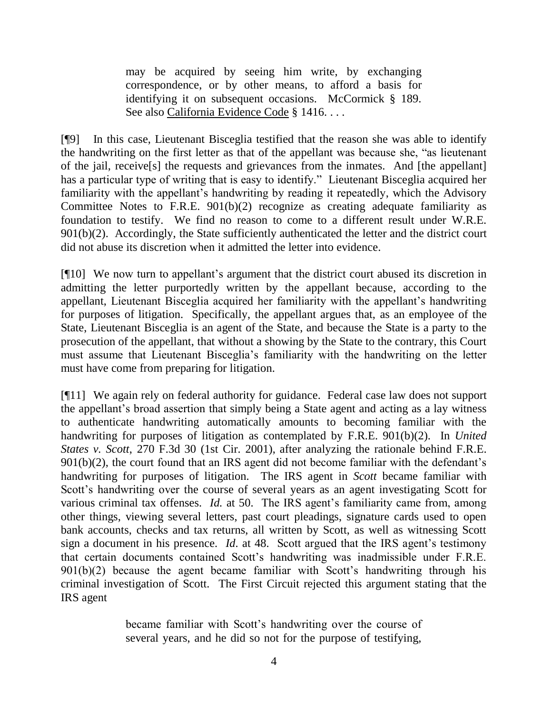may be acquired by seeing him write, by exchanging correspondence, or by other means, to afford a basis for identifying it on subsequent occasions. McCormick § 189. See also California Evidence Code § 1416. . . .

[¶9] In this case, Lieutenant Bisceglia testified that the reason she was able to identify the handwriting on the first letter as that of the appellant was because she, "as lieutenant of the jail, receive[s] the requests and grievances from the inmates. And [the appellant] has a particular type of writing that is easy to identify." Lieutenant Bisceglia acquired her familiarity with the appellant's handwriting by reading it repeatedly, which the Advisory Committee Notes to F.R.E. 901(b)(2) recognize as creating adequate familiarity as foundation to testify. We find no reason to come to a different result under W.R.E. 901(b)(2). Accordingly, the State sufficiently authenticated the letter and the district court did not abuse its discretion when it admitted the letter into evidence.

[¶10] We now turn to appellant"s argument that the district court abused its discretion in admitting the letter purportedly written by the appellant because, according to the appellant, Lieutenant Bisceglia acquired her familiarity with the appellant's handwriting for purposes of litigation. Specifically, the appellant argues that, as an employee of the State, Lieutenant Bisceglia is an agent of the State, and because the State is a party to the prosecution of the appellant, that without a showing by the State to the contrary, this Court must assume that Lieutenant Bisceglia"s familiarity with the handwriting on the letter must have come from preparing for litigation.

[¶11] We again rely on federal authority for guidance. Federal case law does not support the appellant"s broad assertion that simply being a State agent and acting as a lay witness to authenticate handwriting automatically amounts to becoming familiar with the handwriting for purposes of litigation as contemplated by F.R.E. 901(b)(2). In *United States v. Scott*, 270 F.3d 30 (1st Cir. 2001), after analyzing the rationale behind F.R.E. 901(b)(2), the court found that an IRS agent did not become familiar with the defendant's handwriting for purposes of litigation. The IRS agent in *Scott* became familiar with Scott's handwriting over the course of several years as an agent investigating Scott for various criminal tax offenses. *Id.* at 50. The IRS agent"s familiarity came from, among other things, viewing several letters, past court pleadings, signature cards used to open bank accounts, checks and tax returns, all written by Scott, as well as witnessing Scott sign a document in his presence. *Id.* at 48. Scott argued that the IRS agent's testimony that certain documents contained Scott"s handwriting was inadmissible under F.R.E.  $901(b)(2)$  because the agent became familiar with Scott's handwriting through his criminal investigation of Scott. The First Circuit rejected this argument stating that the IRS agent

> became familiar with Scott's handwriting over the course of several years, and he did so not for the purpose of testifying,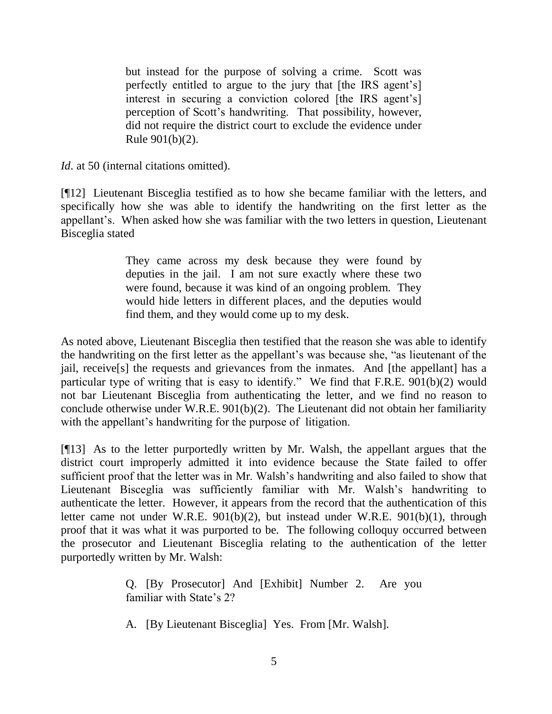but instead for the purpose of solving a crime. Scott was perfectly entitled to argue to the jury that [the IRS agent"s] interest in securing a conviction colored [the IRS agent's] perception of Scott"s handwriting. That possibility, however, did not require the district court to exclude the evidence under Rule 901(b)(2).

*Id.* at 50 (internal citations omitted).

[¶12] Lieutenant Bisceglia testified as to how she became familiar with the letters, and specifically how she was able to identify the handwriting on the first letter as the appellant"s. When asked how she was familiar with the two letters in question, Lieutenant Bisceglia stated

> They came across my desk because they were found by deputies in the jail. I am not sure exactly where these two were found, because it was kind of an ongoing problem. They would hide letters in different places, and the deputies would find them, and they would come up to my desk.

As noted above, Lieutenant Bisceglia then testified that the reason she was able to identify the handwriting on the first letter as the appellant"s was because she, "as lieutenant of the jail, receive[s] the requests and grievances from the inmates. And [the appellant] has a particular type of writing that is easy to identify." We find that F.R.E. 901(b)(2) would not bar Lieutenant Bisceglia from authenticating the letter, and we find no reason to conclude otherwise under W.R.E. 901(b)(2). The Lieutenant did not obtain her familiarity with the appellant's handwriting for the purpose of litigation.

[¶13] As to the letter purportedly written by Mr. Walsh, the appellant argues that the district court improperly admitted it into evidence because the State failed to offer sufficient proof that the letter was in Mr. Walsh"s handwriting and also failed to show that Lieutenant Bisceglia was sufficiently familiar with Mr. Walsh"s handwriting to authenticate the letter. However, it appears from the record that the authentication of this letter came not under W.R.E. 901(b)(2), but instead under W.R.E. 901(b)(1), through proof that it was what it was purported to be. The following colloquy occurred between the prosecutor and Lieutenant Bisceglia relating to the authentication of the letter purportedly written by Mr. Walsh:

> Q. [By Prosecutor] And [Exhibit] Number 2. Are you familiar with State's 2?

A. [By Lieutenant Bisceglia] Yes. From [Mr. Walsh].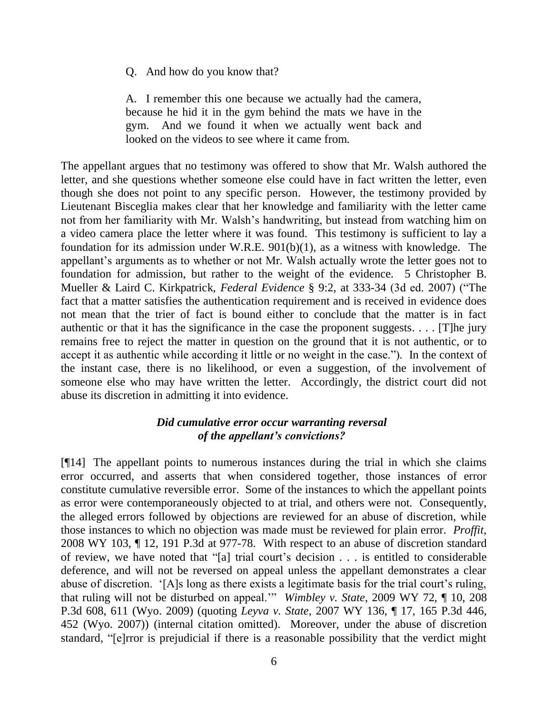Q. And how do you know that?

A. I remember this one because we actually had the camera, because he hid it in the gym behind the mats we have in the gym. And we found it when we actually went back and looked on the videos to see where it came from.

The appellant argues that no testimony was offered to show that Mr. Walsh authored the letter, and she questions whether someone else could have in fact written the letter, even though she does not point to any specific person. However, the testimony provided by Lieutenant Bisceglia makes clear that her knowledge and familiarity with the letter came not from her familiarity with Mr. Walsh"s handwriting, but instead from watching him on a video camera place the letter where it was found. This testimony is sufficient to lay a foundation for its admission under W.R.E. 901(b)(1), as a witness with knowledge. The appellant's arguments as to whether or not Mr. Walsh actually wrote the letter goes not to foundation for admission, but rather to the weight of the evidence. 5 Christopher B. Mueller & Laird C. Kirkpatrick, *Federal Evidence* § 9:2, at 333-34 (3d ed. 2007) ("The fact that a matter satisfies the authentication requirement and is received in evidence does not mean that the trier of fact is bound either to conclude that the matter is in fact authentic or that it has the significance in the case the proponent suggests.  $\ldots$  [T]he jury remains free to reject the matter in question on the ground that it is not authentic, or to accept it as authentic while according it little or no weight in the case."). In the context of the instant case, there is no likelihood, or even a suggestion, of the involvement of someone else who may have written the letter. Accordingly, the district court did not abuse its discretion in admitting it into evidence.

# *Did cumulative error occur warranting reversal of the appellant's convictions?*

[¶14] The appellant points to numerous instances during the trial in which she claims error occurred, and asserts that when considered together, those instances of error constitute cumulative reversible error. Some of the instances to which the appellant points as error were contemporaneously objected to at trial, and others were not. Consequently, the alleged errors followed by objections are reviewed for an abuse of discretion, while those instances to which no objection was made must be reviewed for plain error. *Proffit*, 2008 WY 103, ¶ 12, 191 P.3d at 977-78. With respect to an abuse of discretion standard of review, we have noted that "[a] trial court"s decision . . . is entitled to considerable deference, and will not be reversed on appeal unless the appellant demonstrates a clear abuse of discretion. '[A]s long as there exists a legitimate basis for the trial court's ruling, that ruling will not be disturbed on appeal."" *Wimbley v. State*, 2009 WY 72, ¶ 10, 208 P.3d 608, 611 (Wyo. 2009) (quoting *Leyva v. State*, 2007 WY 136, ¶ 17, 165 P.3d 446, 452 (Wyo. 2007)) (internal citation omitted). Moreover, under the abuse of discretion standard, "[e]rror is prejudicial if there is a reasonable possibility that the verdict might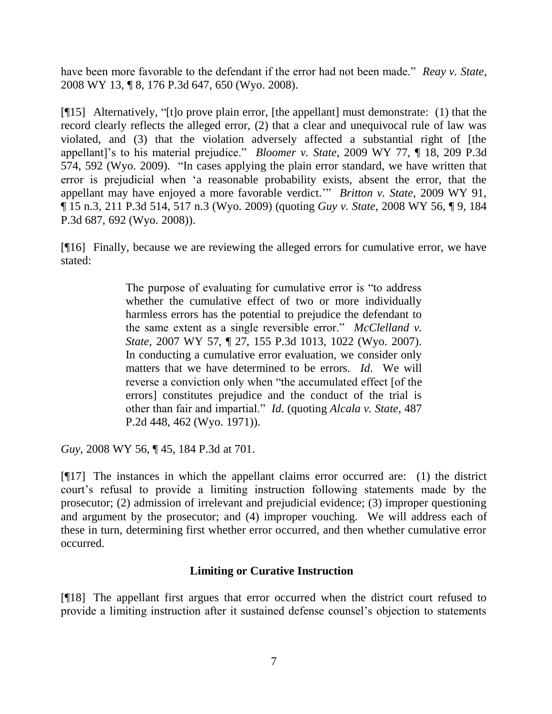have been more favorable to the defendant if the error had not been made." *Reay v. State*, 2008 WY 13, ¶ 8, 176 P.3d 647, 650 (Wyo. 2008).

[¶15] Alternatively, "[t]o prove plain error, [the appellant] must demonstrate: (1) that the record clearly reflects the alleged error, (2) that a clear and unequivocal rule of law was violated, and (3) that the violation adversely affected a substantial right of [the appellant]"s to his material prejudice." *Bloomer v. State*, 2009 WY 77, ¶ 18, 209 P.3d 574, 592 (Wyo. 2009). "In cases applying the plain error standard, we have written that error is prejudicial when "a reasonable probability exists, absent the error, that the appellant may have enjoyed a more favorable verdict."" *Britton v. State*, 2009 WY 91, ¶ 15 n.3, 211 P.3d 514, 517 n.3 (Wyo. 2009) (quoting *Guy v. State*, 2008 WY 56, ¶ 9, 184 P.3d 687, 692 (Wyo. 2008)).

[¶16] Finally, because we are reviewing the alleged errors for cumulative error, we have stated:

> The purpose of evaluating for cumulative error is "to address whether the cumulative effect of two or more individually harmless errors has the potential to prejudice the defendant to the same extent as a single reversible error." *McClelland v. State*, 2007 WY 57, ¶ 27, 155 P.3d 1013, 1022 (Wyo. 2007). In conducting a cumulative error evaluation, we consider only matters that we have determined to be errors. *Id*. We will reverse a conviction only when "the accumulated effect [of the errors] constitutes prejudice and the conduct of the trial is other than fair and impartial." *Id*. (quoting *Alcala v. State*, 487 P.2d 448, 462 (Wyo. 1971)).

*Guy*, 2008 WY 56, ¶ 45, 184 P.3d at 701.

[¶17] The instances in which the appellant claims error occurred are: (1) the district court"s refusal to provide a limiting instruction following statements made by the prosecutor; (2) admission of irrelevant and prejudicial evidence; (3) improper questioning and argument by the prosecutor; and (4) improper vouching. We will address each of these in turn, determining first whether error occurred, and then whether cumulative error occurred.

## **Limiting or Curative Instruction**

[¶18] The appellant first argues that error occurred when the district court refused to provide a limiting instruction after it sustained defense counsel"s objection to statements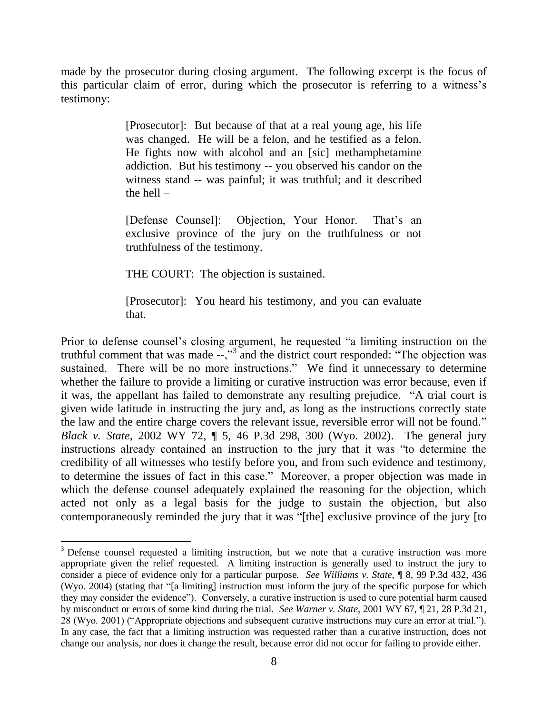made by the prosecutor during closing argument. The following excerpt is the focus of this particular claim of error, during which the prosecutor is referring to a witness"s testimony:

> [Prosecutor]: But because of that at a real young age, his life was changed. He will be a felon, and he testified as a felon. He fights now with alcohol and an [sic] methamphetamine addiction. But his testimony -- you observed his candor on the witness stand -- was painful; it was truthful; and it described the hell  $-$

> [Defense Counsel]: Objection, Your Honor. That's an exclusive province of the jury on the truthfulness or not truthfulness of the testimony.

THE COURT: The objection is sustained.

 $\ddot{\phantom{a}}$ 

[Prosecutor]: You heard his testimony, and you can evaluate that.

Prior to defense counsel"s closing argument, he requested "a limiting instruction on the truthful comment that was made  $-\frac{1}{2}$  and the district court responded: "The objection was sustained. There will be no more instructions." We find it unnecessary to determine whether the failure to provide a limiting or curative instruction was error because, even if it was, the appellant has failed to demonstrate any resulting prejudice. "A trial court is given wide latitude in instructing the jury and, as long as the instructions correctly state the law and the entire charge covers the relevant issue, reversible error will not be found." *Black v. State*, 2002 WY 72, ¶ 5, 46 P.3d 298, 300 (Wyo. 2002). The general jury instructions already contained an instruction to the jury that it was "to determine the credibility of all witnesses who testify before you, and from such evidence and testimony, to determine the issues of fact in this case." Moreover, a proper objection was made in which the defense counsel adequately explained the reasoning for the objection, which acted not only as a legal basis for the judge to sustain the objection, but also contemporaneously reminded the jury that it was "[the] exclusive province of the jury [to

 $3$  Defense counsel requested a limiting instruction, but we note that a curative instruction was more appropriate given the relief requested. A limiting instruction is generally used to instruct the jury to consider a piece of evidence only for a particular purpose. *See Williams v. State*, ¶ 8, 99 P.3d 432, 436 (Wyo. 2004) (stating that "[a limiting] instruction must inform the jury of the specific purpose for which they may consider the evidence"). Conversely, a curative instruction is used to cure potential harm caused by misconduct or errors of some kind during the trial. *See Warner v. State*, 2001 WY 67, ¶ 21, 28 P.3d 21, 28 (Wyo. 2001) ("Appropriate objections and subsequent curative instructions may cure an error at trial."). In any case, the fact that a limiting instruction was requested rather than a curative instruction, does not change our analysis, nor does it change the result, because error did not occur for failing to provide either.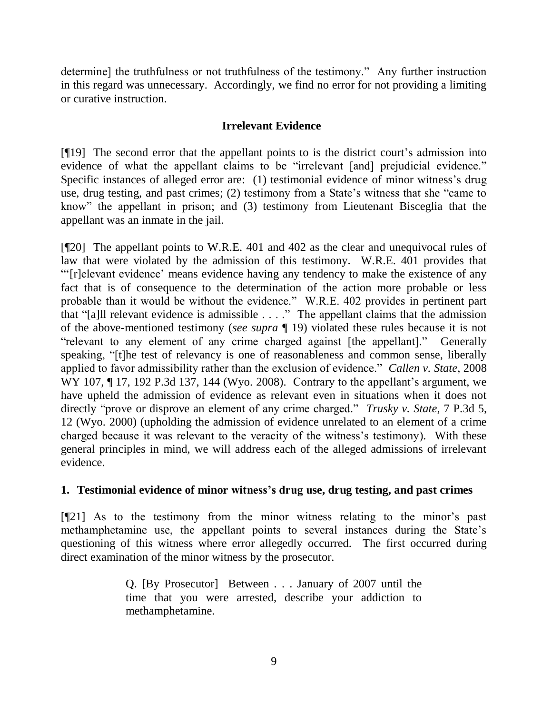determine] the truthfulness or not truthfulness of the testimony." Any further instruction in this regard was unnecessary. Accordingly, we find no error for not providing a limiting or curative instruction.

# **Irrelevant Evidence**

[¶19] The second error that the appellant points to is the district court"s admission into evidence of what the appellant claims to be "irrelevant [and] prejudicial evidence." Specific instances of alleged error are: (1) testimonial evidence of minor witness's drug use, drug testing, and past crimes; (2) testimony from a State's witness that she "came to know" the appellant in prison; and (3) testimony from Lieutenant Bisceglia that the appellant was an inmate in the jail.

[¶20] The appellant points to W.R.E. 401 and 402 as the clear and unequivocal rules of law that were violated by the admission of this testimony. W.R.E. 401 provides that ""[r]elevant evidence" means evidence having any tendency to make the existence of any fact that is of consequence to the determination of the action more probable or less probable than it would be without the evidence." W.R.E. 402 provides in pertinent part that "[a]ll relevant evidence is admissible . . . ." The appellant claims that the admission of the above-mentioned testimony (*see supra* ¶ 19) violated these rules because it is not "relevant to any element of any crime charged against [the appellant]." Generally speaking, "[t]he test of relevancy is one of reasonableness and common sense, liberally applied to favor admissibility rather than the exclusion of evidence." *Callen v. State*, 2008 WY 107, 117, 192 P.3d 137, 144 (Wyo. 2008). Contrary to the appellant's argument, we have upheld the admission of evidence as relevant even in situations when it does not directly "prove or disprove an element of any crime charged." *Trusky v. State*, 7 P.3d 5, 12 (Wyo. 2000) (upholding the admission of evidence unrelated to an element of a crime charged because it was relevant to the veracity of the witness's testimony). With these general principles in mind, we will address each of the alleged admissions of irrelevant evidence.

## **1. Testimonial evidence of minor witness's drug use, drug testing, and past crimes**

[¶21] As to the testimony from the minor witness relating to the minor"s past methamphetamine use, the appellant points to several instances during the State"s questioning of this witness where error allegedly occurred. The first occurred during direct examination of the minor witness by the prosecutor.

> Q. [By Prosecutor] Between . . . January of 2007 until the time that you were arrested, describe your addiction to methamphetamine.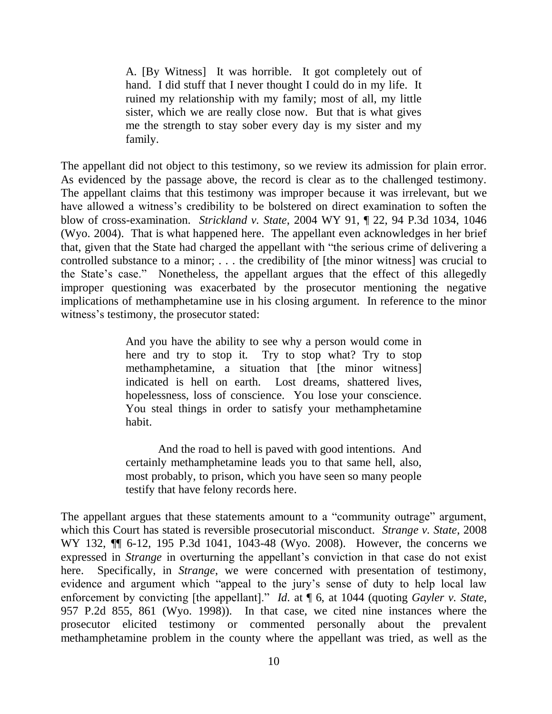A. [By Witness] It was horrible. It got completely out of hand. I did stuff that I never thought I could do in my life. It ruined my relationship with my family; most of all, my little sister, which we are really close now. But that is what gives me the strength to stay sober every day is my sister and my family.

The appellant did not object to this testimony, so we review its admission for plain error. As evidenced by the passage above, the record is clear as to the challenged testimony. The appellant claims that this testimony was improper because it was irrelevant, but we have allowed a witness's credibility to be bolstered on direct examination to soften the blow of cross-examination. *Strickland v. State*, 2004 WY 91, ¶ 22, 94 P.3d 1034, 1046 (Wyo. 2004). That is what happened here. The appellant even acknowledges in her brief that, given that the State had charged the appellant with "the serious crime of delivering a controlled substance to a minor; . . . the credibility of [the minor witness] was crucial to the State"s case." Nonetheless, the appellant argues that the effect of this allegedly improper questioning was exacerbated by the prosecutor mentioning the negative implications of methamphetamine use in his closing argument. In reference to the minor witness's testimony, the prosecutor stated:

> And you have the ability to see why a person would come in here and try to stop it. Try to stop what? Try to stop methamphetamine, a situation that [the minor witness] indicated is hell on earth. Lost dreams, shattered lives, hopelessness, loss of conscience. You lose your conscience. You steal things in order to satisfy your methamphetamine habit.

> And the road to hell is paved with good intentions. And certainly methamphetamine leads you to that same hell, also, most probably, to prison, which you have seen so many people testify that have felony records here.

The appellant argues that these statements amount to a "community outrage" argument, which this Court has stated is reversible prosecutorial misconduct. *Strange v. State*, 2008 WY 132, ¶¶ 6-12, 195 P.3d 1041, 1043-48 (Wyo. 2008). However, the concerns we expressed in *Strange* in overturning the appellant's conviction in that case do not exist here. Specifically, in *Strange*, we were concerned with presentation of testimony, evidence and argument which "appeal to the jury"s sense of duty to help local law enforcement by convicting [the appellant]." *Id*. at ¶ 6, at 1044 (quoting *Gayler v. State*, 957 P.2d 855, 861 (Wyo. 1998)). In that case, we cited nine instances where the prosecutor elicited testimony or commented personally about the prevalent methamphetamine problem in the county where the appellant was tried, as well as the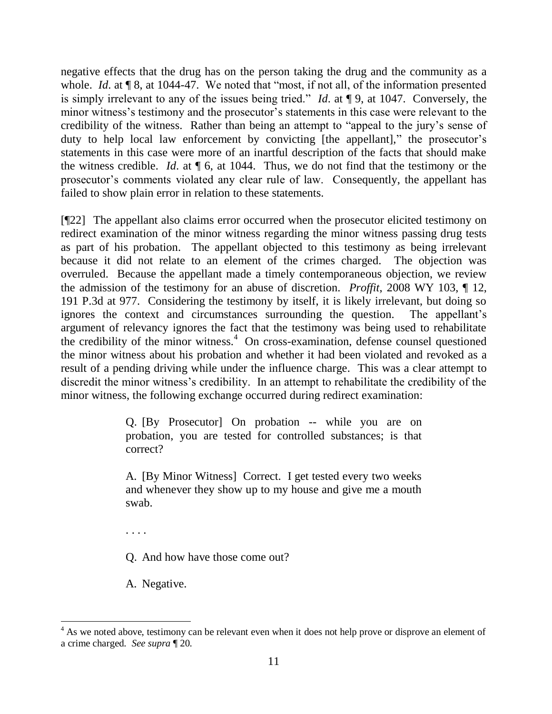negative effects that the drug has on the person taking the drug and the community as a whole. *Id.* at  $\llbracket 8$ , at 1044-47. We noted that "most, if not all, of the information presented is simply irrelevant to any of the issues being tried." *Id*. at ¶ 9, at 1047. Conversely, the minor witness's testimony and the prosecutor's statements in this case were relevant to the credibility of the witness. Rather than being an attempt to "appeal to the jury"s sense of duty to help local law enforcement by convicting [the appellant]," the prosecutor's statements in this case were more of an inartful description of the facts that should make the witness credible. *Id*. at ¶ 6, at 1044. Thus, we do not find that the testimony or the prosecutor"s comments violated any clear rule of law. Consequently, the appellant has failed to show plain error in relation to these statements.

[¶22] The appellant also claims error occurred when the prosecutor elicited testimony on redirect examination of the minor witness regarding the minor witness passing drug tests as part of his probation. The appellant objected to this testimony as being irrelevant because it did not relate to an element of the crimes charged. The objection was overruled. Because the appellant made a timely contemporaneous objection, we review the admission of the testimony for an abuse of discretion. *Proffit*, 2008 WY 103, ¶ 12, 191 P.3d at 977. Considering the testimony by itself, it is likely irrelevant, but doing so ignores the context and circumstances surrounding the question. The appellant"s argument of relevancy ignores the fact that the testimony was being used to rehabilitate the credibility of the minor witness.<sup>4</sup> On cross-examination, defense counsel questioned the minor witness about his probation and whether it had been violated and revoked as a result of a pending driving while under the influence charge. This was a clear attempt to discredit the minor witness"s credibility. In an attempt to rehabilitate the credibility of the minor witness, the following exchange occurred during redirect examination:

> Q. [By Prosecutor] On probation -- while you are on probation, you are tested for controlled substances; is that correct?

> A. [By Minor Witness] Correct. I get tested every two weeks and whenever they show up to my house and give me a mouth swab.

. . . .

 $\ddot{\phantom{a}}$ 

Q. And how have those come out?

A. Negative.

 $4$  As we noted above, testimony can be relevant even when it does not help prove or disprove an element of a crime charged. *See supra* ¶ 20.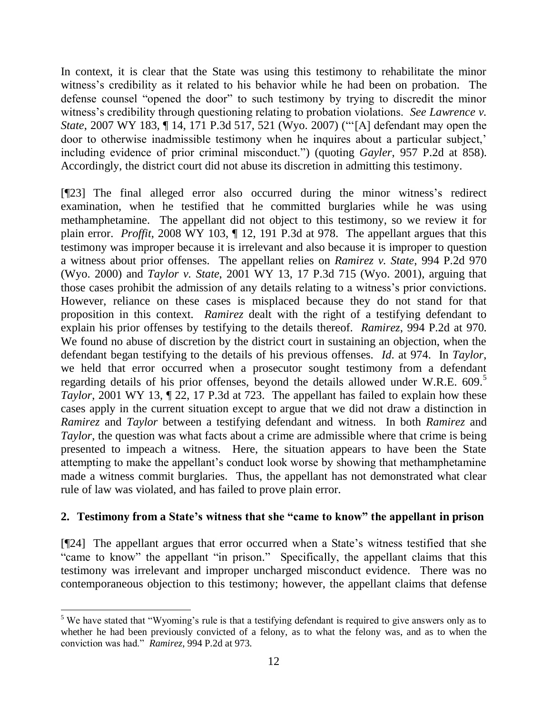In context, it is clear that the State was using this testimony to rehabilitate the minor witness"s credibility as it related to his behavior while he had been on probation. The defense counsel "opened the door" to such testimony by trying to discredit the minor witness's credibility through questioning relating to probation violations. *See Lawrence v. State*, 2007 WY 183, ¶ 14, 171 P.3d 517, 521 (Wyo. 2007) (""[A] defendant may open the door to otherwise inadmissible testimony when he inquires about a particular subject, including evidence of prior criminal misconduct.") (quoting *Gayler*, 957 P.2d at 858). Accordingly, the district court did not abuse its discretion in admitting this testimony.

[¶23] The final alleged error also occurred during the minor witness"s redirect examination, when he testified that he committed burglaries while he was using methamphetamine. The appellant did not object to this testimony, so we review it for plain error. *Proffit*, 2008 WY 103, ¶ 12, 191 P.3d at 978. The appellant argues that this testimony was improper because it is irrelevant and also because it is improper to question a witness about prior offenses. The appellant relies on *Ramirez v. State*, 994 P.2d 970 (Wyo. 2000) and *Taylor v. State*, 2001 WY 13, 17 P.3d 715 (Wyo. 2001), arguing that those cases prohibit the admission of any details relating to a witness"s prior convictions. However, reliance on these cases is misplaced because they do not stand for that proposition in this context. *Ramirez* dealt with the right of a testifying defendant to explain his prior offenses by testifying to the details thereof. *Ramirez*, 994 P.2d at 970. We found no abuse of discretion by the district court in sustaining an objection, when the defendant began testifying to the details of his previous offenses. *Id*. at 974. In *Taylor*, we held that error occurred when a prosecutor sought testimony from a defendant regarding details of his prior offenses, beyond the details allowed under W.R.E. 609. 5 *Taylor*, 2001 WY 13, 122, 17 P.3d at 723. The appellant has failed to explain how these cases apply in the current situation except to argue that we did not draw a distinction in *Ramirez* and *Taylor* between a testifying defendant and witness. In both *Ramirez* and *Taylor*, the question was what facts about a crime are admissible where that crime is being presented to impeach a witness. Here, the situation appears to have been the State attempting to make the appellant"s conduct look worse by showing that methamphetamine made a witness commit burglaries. Thus, the appellant has not demonstrated what clear rule of law was violated, and has failed to prove plain error.

## **2. Testimony from a State's witness that she "came to know" the appellant in prison**

[¶24] The appellant argues that error occurred when a State"s witness testified that she "came to know" the appellant "in prison." Specifically, the appellant claims that this testimony was irrelevant and improper uncharged misconduct evidence. There was no contemporaneous objection to this testimony; however, the appellant claims that defense

1

 $5$  We have stated that "Wyoming's rule is that a testifying defendant is required to give answers only as to whether he had been previously convicted of a felony, as to what the felony was, and as to when the conviction was had." *Ramirez*, 994 P.2d at 973.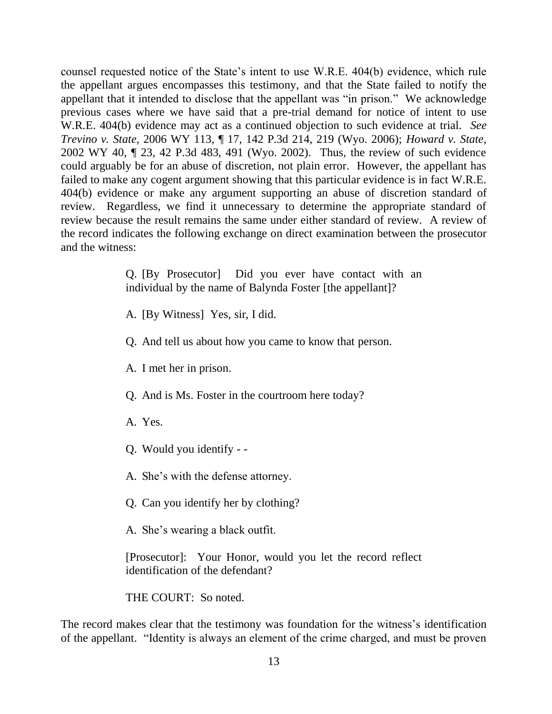counsel requested notice of the State"s intent to use W.R.E. 404(b) evidence, which rule the appellant argues encompasses this testimony, and that the State failed to notify the appellant that it intended to disclose that the appellant was "in prison." We acknowledge previous cases where we have said that a pre-trial demand for notice of intent to use W.R.E. 404(b) evidence may act as a continued objection to such evidence at trial. *See Trevino v. State*, 2006 WY 113, ¶ 17, 142 P.3d 214, 219 (Wyo. 2006); *Howard v. State*, 2002 WY 40, ¶ 23, 42 P.3d 483, 491 (Wyo. 2002). Thus, the review of such evidence could arguably be for an abuse of discretion, not plain error. However, the appellant has failed to make any cogent argument showing that this particular evidence is in fact W.R.E. 404(b) evidence or make any argument supporting an abuse of discretion standard of review. Regardless, we find it unnecessary to determine the appropriate standard of review because the result remains the same under either standard of review. A review of the record indicates the following exchange on direct examination between the prosecutor and the witness:

> Q. [By Prosecutor] Did you ever have contact with an individual by the name of Balynda Foster [the appellant]?

A. [By Witness] Yes, sir, I did.

Q. And tell us about how you came to know that person.

A. I met her in prison.

Q. And is Ms. Foster in the courtroom here today?

A. Yes.

Q. Would you identify - -

A. She"s with the defense attorney.

Q. Can you identify her by clothing?

A. She"s wearing a black outfit.

[Prosecutor]: Your Honor, would you let the record reflect identification of the defendant?

THE COURT: So noted.

The record makes clear that the testimony was foundation for the witness's identification of the appellant. "Identity is always an element of the crime charged, and must be proven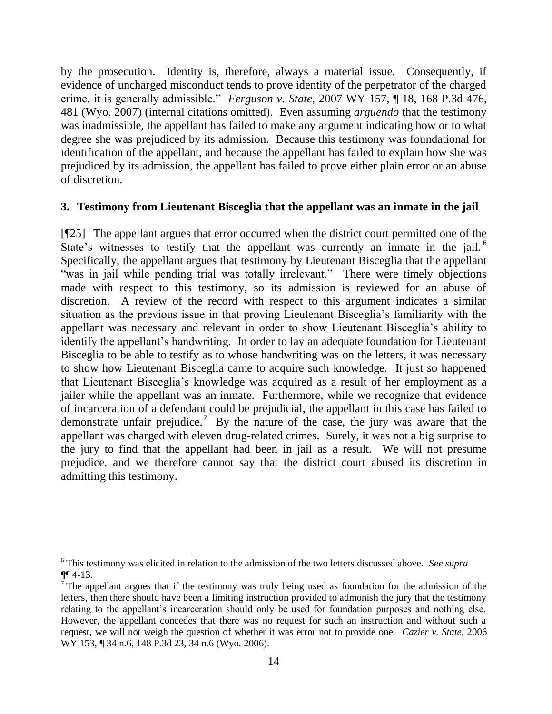by the prosecution. Identity is, therefore, always a material issue. Consequently, if evidence of uncharged misconduct tends to prove identity of the perpetrator of the charged crime, it is generally admissible." *Ferguson v. State*, 2007 WY 157, ¶ 18, 168 P.3d 476, 481 (Wyo. 2007) (internal citations omitted). Even assuming *arguendo* that the testimony was inadmissible, the appellant has failed to make any argument indicating how or to what degree she was prejudiced by its admission. Because this testimony was foundational for identification of the appellant, and because the appellant has failed to explain how she was prejudiced by its admission, the appellant has failed to prove either plain error or an abuse of discretion.

## **3. Testimony from Lieutenant Bisceglia that the appellant was an inmate in the jail**

[¶25] The appellant argues that error occurred when the district court permitted one of the State's witnesses to testify that the appellant was currently an inmate in the jail.<sup>6</sup> Specifically, the appellant argues that testimony by Lieutenant Bisceglia that the appellant "was in jail while pending trial was totally irrelevant." There were timely objections made with respect to this testimony, so its admission is reviewed for an abuse of discretion. A review of the record with respect to this argument indicates a similar situation as the previous issue in that proving Lieutenant Bisceglia"s familiarity with the appellant was necessary and relevant in order to show Lieutenant Bisceglia"s ability to identify the appellant's handwriting. In order to lay an adequate foundation for Lieutenant Bisceglia to be able to testify as to whose handwriting was on the letters, it was necessary to show how Lieutenant Bisceglia came to acquire such knowledge. It just so happened that Lieutenant Bisceglia"s knowledge was acquired as a result of her employment as a jailer while the appellant was an inmate. Furthermore, while we recognize that evidence of incarceration of a defendant could be prejudicial, the appellant in this case has failed to demonstrate unfair prejudice.<sup>7</sup> By the nature of the case, the jury was aware that the appellant was charged with eleven drug-related crimes. Surely, it was not a big surprise to the jury to find that the appellant had been in jail as a result. We will not presume prejudice, and we therefore cannot say that the district court abused its discretion in admitting this testimony.

<sup>1</sup> <sup>6</sup> This testimony was elicited in relation to the admission of the two letters discussed above. *See supra* ¶¶ 4-13.

 $\overline{7}$  The appellant argues that if the testimony was truly being used as foundation for the admission of the letters, then there should have been a limiting instruction provided to admonish the jury that the testimony relating to the appellant's incarceration should only be used for foundation purposes and nothing else. However, the appellant concedes that there was no request for such an instruction and without such a request, we will not weigh the question of whether it was error not to provide one. *Cazier v. State*, 2006 WY 153, ¶ 34 n.6, 148 P.3d 23, 34 n.6 (Wyo. 2006).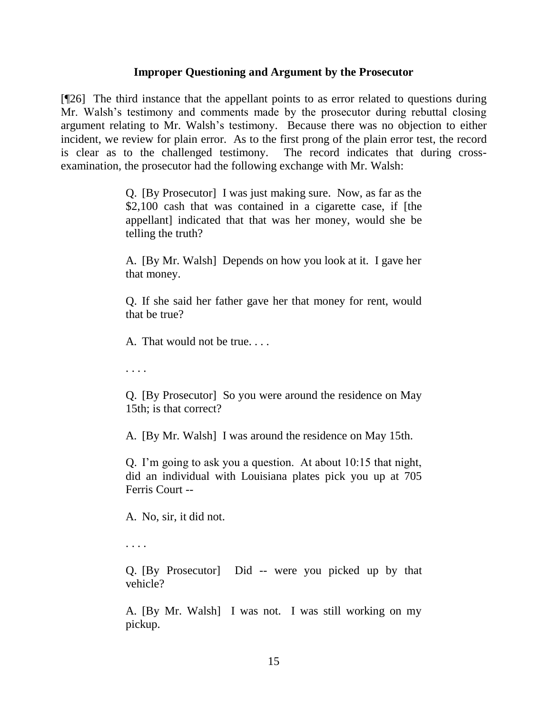### **Improper Questioning and Argument by the Prosecutor**

[¶26] The third instance that the appellant points to as error related to questions during Mr. Walsh's testimony and comments made by the prosecutor during rebuttal closing argument relating to Mr. Walsh"s testimony. Because there was no objection to either incident, we review for plain error. As to the first prong of the plain error test, the record is clear as to the challenged testimony. The record indicates that during crossexamination, the prosecutor had the following exchange with Mr. Walsh:

> Q. [By Prosecutor] I was just making sure. Now, as far as the \$2,100 cash that was contained in a cigarette case, if [the appellant] indicated that that was her money, would she be telling the truth?

> A. [By Mr. Walsh] Depends on how you look at it. I gave her that money.

> Q. If she said her father gave her that money for rent, would that be true?

A. That would not be true. . . .

. . . .

Q. [By Prosecutor] So you were around the residence on May 15th; is that correct?

A. [By Mr. Walsh] I was around the residence on May 15th.

Q. I"m going to ask you a question. At about 10:15 that night, did an individual with Louisiana plates pick you up at 705 Ferris Court --

A. No, sir, it did not.

. . . .

Q. [By Prosecutor] Did -- were you picked up by that vehicle?

A. [By Mr. Walsh] I was not. I was still working on my pickup.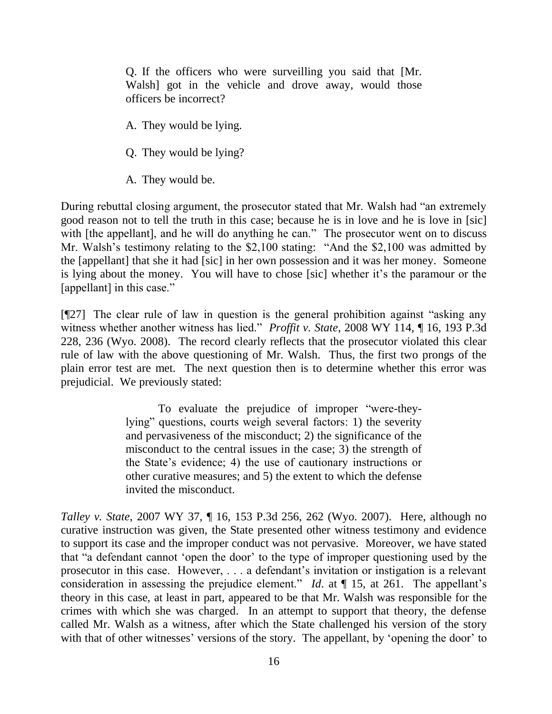Q. If the officers who were surveilling you said that [Mr. Walsh] got in the vehicle and drove away, would those officers be incorrect?

A. They would be lying.

Q. They would be lying?

A. They would be.

During rebuttal closing argument, the prosecutor stated that Mr. Walsh had "an extremely good reason not to tell the truth in this case; because he is in love and he is love in [sic] with [the appellant], and he will do anything he can." The prosecutor went on to discuss Mr. Walsh's testimony relating to the \$2,100 stating: "And the \$2,100 was admitted by the [appellant] that she it had [sic] in her own possession and it was her money. Someone is lying about the money. You will have to chose [sic] whether it's the paramour or the [appellant] in this case."

[¶27] The clear rule of law in question is the general prohibition against "asking any witness whether another witness has lied." *Proffit v. State*, 2008 WY 114, ¶ 16, 193 P.3d 228, 236 (Wyo. 2008). The record clearly reflects that the prosecutor violated this clear rule of law with the above questioning of Mr. Walsh. Thus, the first two prongs of the plain error test are met. The next question then is to determine whether this error was prejudicial. We previously stated:

> To evaluate the prejudice of improper "were-theylying" questions, courts weigh several factors: 1) the severity and pervasiveness of the misconduct; 2) the significance of the misconduct to the central issues in the case; 3) the strength of the State"s evidence; 4) the use of cautionary instructions or other curative measures; and 5) the extent to which the defense invited the misconduct.

*Talley v. State*, 2007 WY 37, ¶ 16, 153 P.3d 256, 262 (Wyo. 2007). Here, although no curative instruction was given, the State presented other witness testimony and evidence to support its case and the improper conduct was not pervasive. Moreover, we have stated that "a defendant cannot "open the door" to the type of improper questioning used by the prosecutor in this case. However, . . . a defendant"s invitation or instigation is a relevant consideration in assessing the prejudice element." *Id.* at  $\P$  15, at 261. The appellant's theory in this case, at least in part, appeared to be that Mr. Walsh was responsible for the crimes with which she was charged. In an attempt to support that theory, the defense called Mr. Walsh as a witness, after which the State challenged his version of the story with that of other witnesses' versions of the story. The appellant, by 'opening the door' to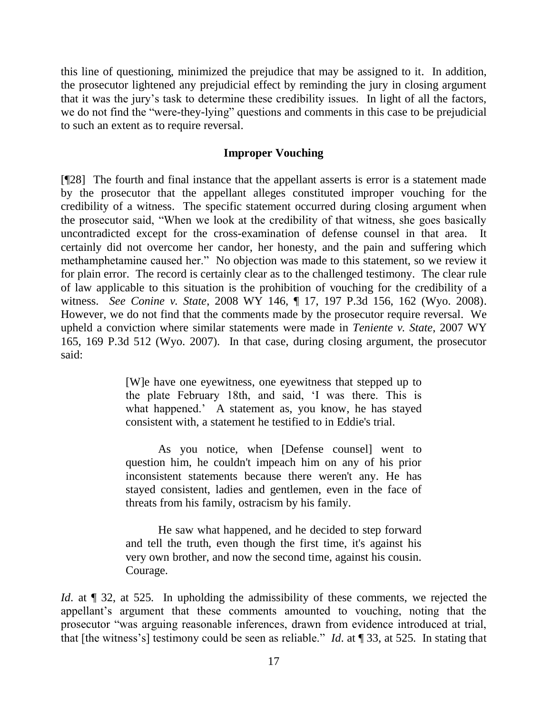this line of questioning, minimized the prejudice that may be assigned to it. In addition, the prosecutor lightened any prejudicial effect by reminding the jury in closing argument that it was the jury"s task to determine these credibility issues. In light of all the factors, we do not find the "were-they-lying" questions and comments in this case to be prejudicial to such an extent as to require reversal.

### **Improper Vouching**

[¶28] The fourth and final instance that the appellant asserts is error is a statement made by the prosecutor that the appellant alleges constituted improper vouching for the credibility of a witness. The specific statement occurred during closing argument when the prosecutor said, "When we look at the credibility of that witness, she goes basically uncontradicted except for the cross-examination of defense counsel in that area. It certainly did not overcome her candor, her honesty, and the pain and suffering which methamphetamine caused her." No objection was made to this statement, so we review it for plain error. The record is certainly clear as to the challenged testimony. The clear rule of law applicable to this situation is the prohibition of vouching for the credibility of a witness. *See Conine v. State*, 2008 WY 146, ¶ 17, 197 P.3d 156, 162 (Wyo. 2008). However, we do not find that the comments made by the prosecutor require reversal. We upheld a conviction where similar statements were made in *Teniente v. State*, 2007 WY 165, 169 P.3d 512 (Wyo. 2007). In that case, during closing argument, the prosecutor said:

> [W]e have one eyewitness, one eyewitness that stepped up to the plate February 18th, and said, "I was there. This is what happened." A statement as, you know, he has stayed consistent with, a statement he testified to in Eddie's trial.

> As you notice, when [Defense counsel] went to question him, he couldn't impeach him on any of his prior inconsistent statements because there weren't any. He has stayed consistent, ladies and gentlemen, even in the face of threats from his family, ostracism by his family.

> He saw what happened, and he decided to step forward and tell the truth, even though the first time, it's against his very own brother, and now the second time, against his cousin. Courage.

*Id.* at  $\llbracket$  32, at 525. In upholding the admissibility of these comments, we rejected the appellant"s argument that these comments amounted to vouching, noting that the prosecutor "was arguing reasonable inferences, drawn from evidence introduced at trial, that [the witness"s] testimony could be seen as reliable." *Id*. at ¶ 33, at 525. In stating that